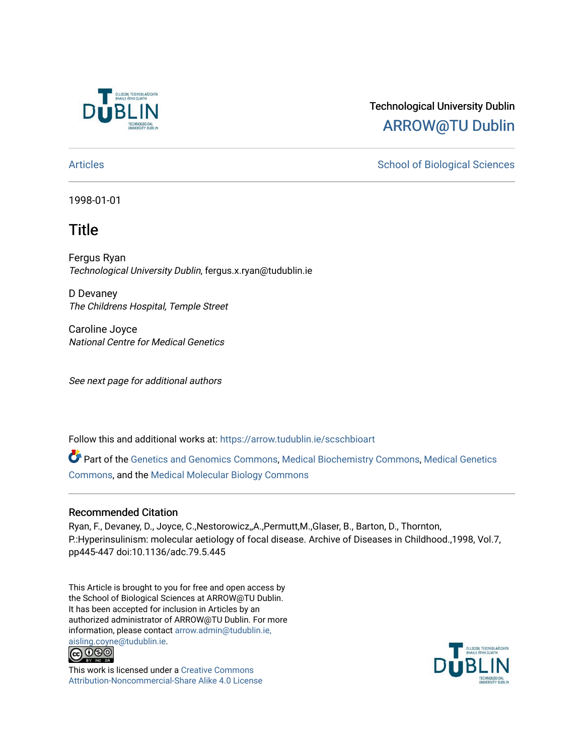

# Technological University Dublin [ARROW@TU Dublin](https://arrow.tudublin.ie/)

[Articles](https://arrow.tudublin.ie/scschbioart) **School of Biological Sciences** School of Biological Sciences

1998-01-01

# **Title**

Fergus Ryan Technological University Dublin, fergus.x.ryan@tudublin.ie

D Devaney The Childrens Hospital, Temple Street

Caroline Joyce National Centre for Medical Genetics

See next page for additional authors

Follow this and additional works at: [https://arrow.tudublin.ie/scschbioart](https://arrow.tudublin.ie/scschbioart?utm_source=arrow.tudublin.ie%2Fscschbioart%2F9&utm_medium=PDF&utm_campaign=PDFCoverPages)

Part of the [Genetics and Genomics Commons](http://network.bepress.com/hgg/discipline/27?utm_source=arrow.tudublin.ie%2Fscschbioart%2F9&utm_medium=PDF&utm_campaign=PDFCoverPages), [Medical Biochemistry Commons](http://network.bepress.com/hgg/discipline/666?utm_source=arrow.tudublin.ie%2Fscschbioart%2F9&utm_medium=PDF&utm_campaign=PDFCoverPages), [Medical Genetics](http://network.bepress.com/hgg/discipline/670?utm_source=arrow.tudublin.ie%2Fscschbioart%2F9&utm_medium=PDF&utm_campaign=PDFCoverPages) [Commons](http://network.bepress.com/hgg/discipline/670?utm_source=arrow.tudublin.ie%2Fscschbioart%2F9&utm_medium=PDF&utm_campaign=PDFCoverPages), and the [Medical Molecular Biology Commons](http://network.bepress.com/hgg/discipline/673?utm_source=arrow.tudublin.ie%2Fscschbioart%2F9&utm_medium=PDF&utm_campaign=PDFCoverPages) 

### Recommended Citation

Ryan, F., Devaney, D., Joyce, C.,Nestorowicz,,A.,Permutt,M.,Glaser, B., Barton, D., Thornton, P.:Hyperinsulinism: molecular aetiology of focal disease. Archive of Diseases in Childhood.,1998, Vol.7, pp445-447 doi:10.1136/adc.79.5.445

This Article is brought to you for free and open access by the School of Biological Sciences at ARROW@TU Dublin. It has been accepted for inclusion in Articles by an authorized administrator of ARROW@TU Dublin. For more information, please contact [arrow.admin@tudublin.ie,](mailto:arrow.admin@tudublin.ie,%20aisling.coyne@tudublin.ie) 



This work is licensed under a [Creative Commons](http://creativecommons.org/licenses/by-nc-sa/4.0/) [Attribution-Noncommercial-Share Alike 4.0 License](http://creativecommons.org/licenses/by-nc-sa/4.0/)

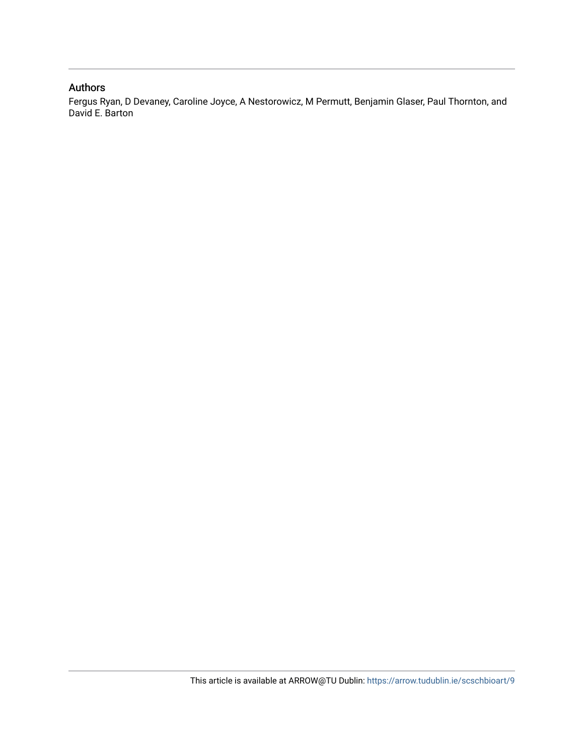### Authors

Fergus Ryan, D Devaney, Caroline Joyce, A Nestorowicz, M Permutt, Benjamin Glaser, Paul Thornton, and David E. Barton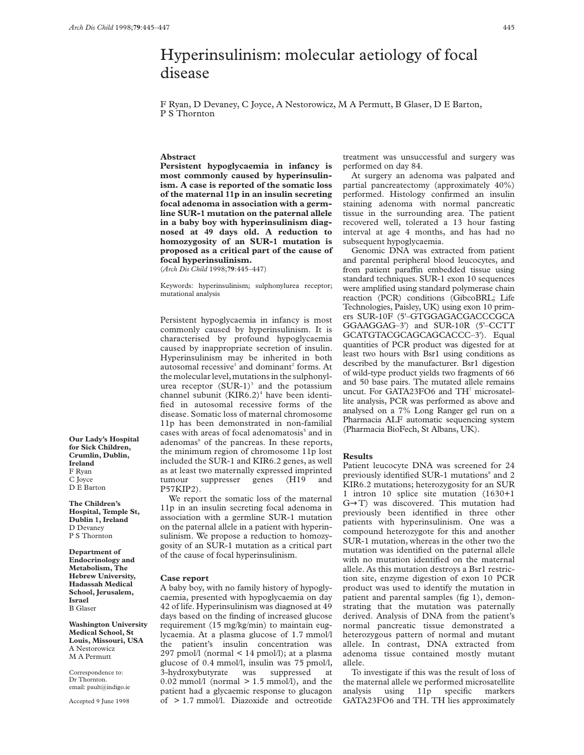## Hyperinsulinism: molecular aetiology of focal disease

F Ryan, D Devaney, C Joyce, A Nestorowicz, M A Permutt, B Glaser, D E Barton, P S Thornton

### **Abstract**

**Persistent hypoglycaemia in infancy is most commonly caused by hyperinsulinism. A case is reported of the somatic loss of the maternal 11p in an insulin secreting focal adenoma in association with a germline SUR-1 mutation on the paternal allele in a baby boy with hyperinsulinism diagnosed at 49 days old. A reduction to homozygosity of an SUR-1 mutation is proposed as a critical part of the cause of focal hyperinsulinism.**

(*Arch Dis Child* 1998;**79**:445–447)

Keywords: hyperinsulinism; sulphonylurea receptor; mutational analysis

Persistent hypoglycaemia in infancy is most commonly caused by hyperinsulinism. It is characterised by profound hypoglycaemia caused by inappropriate secretion of insulin. Hyperinsulinism may be inherited in both autosomal recessive<sup>1</sup> and dominant<sup>2</sup> forms. At the molecular level, mutations in the sulphonylurea receptor  $(SUR-1)^3$  and the potassium channel subunit  $(KIR6.2)^4$  have been identified in autosomal recessive forms of the disease. Somatic loss of maternal chromosome 11p has been demonstrated in non-familial cases with areas of focal adenomatosis<sup>5</sup> and in adenomas<sup>6</sup> of the pancreas. In these reports, the minimum region of chromosome 11p lost included the SUR-1 and KIR6.2 genes, as well as at least two maternally expressed imprinted tumour suppresser genes (H19 and P57KIP2).

We report the somatic loss of the maternal 11p in an insulin secreting focal adenoma in association with a germline SUR-1 mutation on the paternal allele in a patient with hyperinsulinism. We propose a reduction to homozygosity of an SUR-1 mutation as a critical part of the cause of focal hyperinsulinism.

#### **Case report**

A baby boy, with no family history of hypoglycaemia, presented with hypoglycaemia on day 42 of life. Hyperinsulinism was diagnosed at 49 days based on the finding of increased glucose requirement (15 mg/kg/min) to maintain euglycaemia. At a plasma glucose of 1.7 mmol/l the patient's insulin concentration was 297 pmol/l (normal < 14 pmol/l); at a plasma glucose of 0.4 mmol/l, insulin was 75 pmol/l, 3-hydroxybutyrate was suppressed at  $0.02$  mmol/l (normal  $> 1.5$  mmol/l), and the patient had a glycaemic response to glucagon of > 1.7 mmol/l. Diazoxide and octreotide

treatment was unsuccessful and surgery was performed on day 84.

At surgery an adenoma was palpated and partial pancreatectomy (approximately 40%) performed. Histology confirmed an insulin staining adenoma with normal pancreatic tissue in the surrounding area. The patient recovered well, tolerated a 13 hour fasting interval at age 4 months, and has had no subsequent hypoglycaemia.

Genomic DNA was extracted from patient and parental peripheral blood leucocytes, and from patient paraffin embedded tissue using standard techniques. SUR-1 exon 10 sequences were amplified using standard polymerase chain reaction (PCR) conditions (GibcoBRL; Life Technologies, Paisley, UK) using exon 10 primers SUR-10F (5'–GTGGAGACGACCCGCA GGAAGGAG–3') and SUR-10R (5'–CCTT GCATGTACGCAGCAGCACCC–3'). Equal quantities of PCR product was digested for at least two hours with Bsr1 using conditions as described by the manufacturer. Bsr1 digestion of wild-type product yields two fragments of 66 and 50 base pairs. The mutated allele remains uncut. For GATA23FO6 and TH<sup>7</sup> microsatellite analysis, PCR was performed as above and analysed on a 7% Long Ranger gel run on a Pharmacia ALF automatic sequencing system (Pharmacia BioFech, St Albans, UK).

#### **Results**

Patient leucocyte DNA was screened for 24 previously identified SUR-1 mutations<sup>8</sup> and 2 KIR6.2 mutations; heterozygosity for an SUR 1 intron 10 splice site mutation (1630+1 G→T) was discovered. This mutation had previously been identified in three other patients with hyperinsulinism. One was a compound heterozygote for this and another SUR-1 mutation, whereas in the other two the mutation was identified on the paternal allele with no mutation identified on the maternal allele. As this mutation destroys a Bsr1 restriction site, enzyme digestion of exon 10 PCR product was used to identify the mutation in patient and parental samples (fig 1), demonstrating that the mutation was paternally derived. Analysis of DNA from the patient's normal pancreatic tissue demonstrated a heterozygous pattern of normal and mutant allele. In contrast, DNA extracted from adenoma tissue contained mostly mutant allele.

To investigate if this was the result of loss of the maternal allele we performed microsatellite analysis using 11p specific markers GATA23FO6 and TH. TH lies approximately

**Our Lady's Hospital for Sick Children, Crumlin, Dublin, Ireland** F Ryan C Joyce D E Barton

**The Children's Hospital, Temple St, Dublin 1, Ireland** D Devaney P S Thornton

**Department of Endocrinology and Metabolism, The Hebrew University, Hadassah Medical School, Jerusalem, Israel** B Glaser

**Washington University Medical School, St Louis, Missouri, USA** A Nestorowicz M A Permutt

Correspondence to: Dr Thornton. email: pault@indigo.ie

Accepted 9 June 1998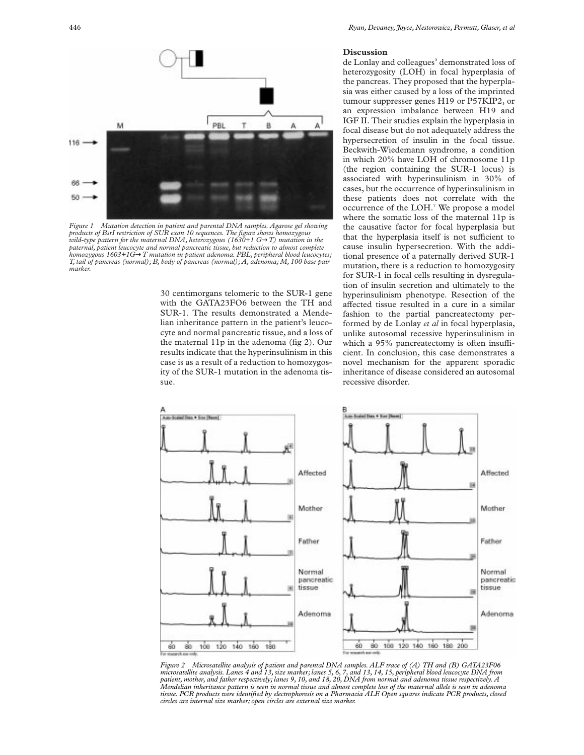

*Figure 1 Mutation detection in patient and parental DNA samples. Agarose gel showing products of BsrI restriction of SUR exon 10 sequences. The figure shows homozygous wild-type pattern for the maternal DNA, heterozygous (1630+1 G*→*T) mutation in the paternal, patient leucocyte and normal pancreatic tissue, but reduction to almost complete homozygous 1603+1G*→*T mutation in patient adenoma. PBL, peripheral blood leucocytes; T, tail of pancreas (normal); B, body of pancreas (normal); A, adenoma; M, 100 base pair marker.*

30 centimorgans telomeric to the SUR-1 gene with the GATA23FO6 between the TH and SUR-1. The results demonstrated a Mendelian inheritance pattern in the patient's leucocyte and normal pancreatic tissue, and a loss of the maternal 11p in the adenoma (fig 2). Our results indicate that the hyperinsulinism in this case is as a result of a reduction to homozygosity of the SUR-1 mutation in the adenoma tissue.

#### **Discussion**

de Lonlay and colleagues<sup>5</sup> demonstrated loss of heterozygosity (LOH) in focal hyperplasia of the pancreas. They proposed that the hyperplasia was either caused by a loss of the imprinted tumour suppresser genes H19 or P57KIP2, or an expression imbalance between H19 and IGF II. Their studies explain the hyperplasia in focal disease but do not adequately address the hypersecretion of insulin in the focal tissue. Beckwith-Wiedemann syndrome, a condition in which 20% have LOH of chromosome 11p (the region containing the SUR-1 locus) is associated with hyperinsulinism in 30% of cases, but the occurrence of hyperinsulinism in these patients does not correlate with the occurrence of the LOH.<sup>7</sup> We propose a model where the somatic loss of the maternal 11p is the causative factor for focal hyperplasia but that the hyperplasia itself is not sufficient to cause insulin hypersecretion. With the additional presence of a paternally derived SUR-1 mutation, there is a reduction to homozygosity for SUR-1 in focal cells resulting in dysregulation of insulin secretion and ultimately to the hyperinsulinism phenotype. Resection of the affected tissue resulted in a cure in a similar fashion to the partial pancreatectomy performed by de Lonlay *et al* in focal hyperplasia, unlike autosomal recessive hyperinsulinism in which a  $95\%$  pancreatectomy is often insufficient. In conclusion, this case demonstrates a novel mechanism for the apparent sporadic inheritance of disease considered an autosomal recessive disorder.



Figure 2 Microsatellite analysis of patient and parental DNA samples. ALF trace of (A) TH and (B) GATA23F06<br>microsatellite analysis. Lanes 4 and 13, size marker; lanes 5, 6, 7, and 13, 14, 15, peripheral blood leucocyte *Mendelian inheritance pattern is seen in normal tissue and almost complete loss of the maternal allele is seen in adenoma tissue. PCR products were identified by electrophoresis on a Pharmacia ALF. Open squares indicate PCR products, closed circles are internal size marker; open circles are external size marker.*